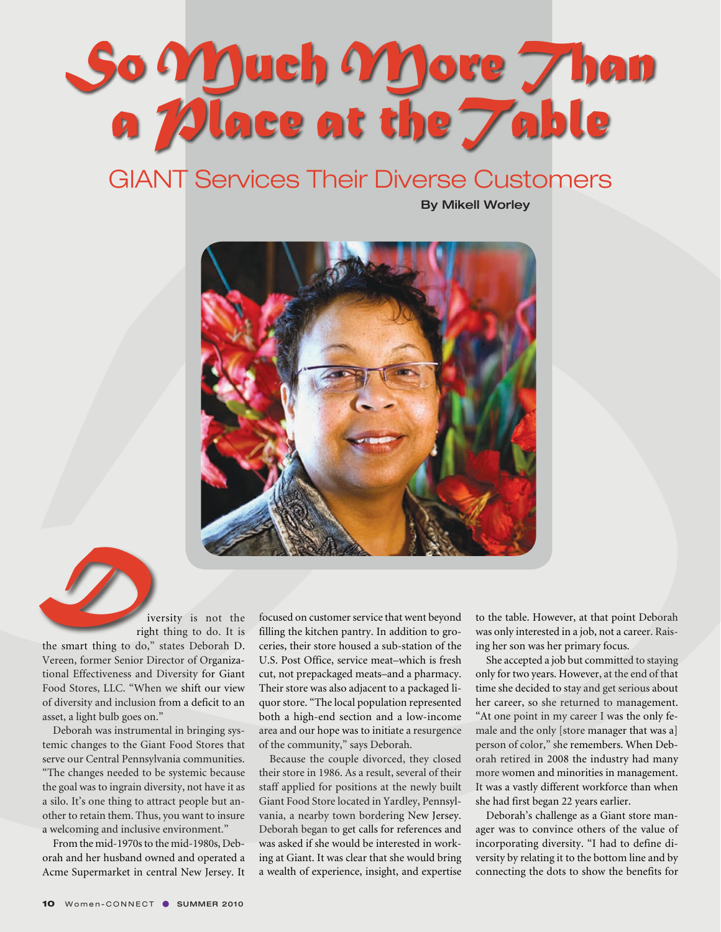## So Much More *Than a Place at theTable*

## **GIANT Services Their Diverse Customers**

By Mikell Worley



iversity is not the right thing to do. It is the smart thing to do," states Deborah D. Vereen, former Senior Director of Organizational Effectiveness and Diversity for Giant Food Stores, LLC. "When we shift our view of diversity and inclusion from a deficit to an asset, a light bulb goes on."  $D_{\text{tr}}$ 

Deborah was instrumental in bringing systemic changes to the Giant Food Stores that serve our Central Pennsylvania communities. "The changes needed to be systemic because the goal was to ingrain diversity, not have it as a silo. It's one thing to attract people but another to retain them. Thus, you want to insure a welcoming and inclusive environment."

From the mid-1970s to the mid-1980s, Deborah and her husband owned and operated a Acme Supermarket in central New Jersey. It focused on customer service that went beyond filling the kitchen pantry. In addition to groceries, their store housed a sub-station of the U.S. Post Office, service meat–which is fresh cut, not prepackaged meats–and a pharmacy. Their store was also adjacent to a packaged liquor store. "The local population represented both a high-end section and a low-income area and our hope was to initiate a resurgence of the community," says Deborah.

Because the couple divorced, they closed their store in 1986. As a result, several of their staff applied for positions at the newly built Giant Food Store located in Yardley, Pennsylvania, a nearby town bordering New Jersey. Deborah began to get calls for references and was asked if she would be interested in working at Giant. It was clear that she would bring a wealth of experience, insight, and expertise to the table. However, at that point Deborah was only interested in a job, not a career. Raising her son was her primary focus.

She accepted a job but committed to staying only for two years. However, at the end of that time she decided to stay and get serious about her career, so she returned to management. "At one point in my career I was the only female and the only [store manager that was a] person of color," she remembers. When Deborah retired in 2008 the industry had many more women and minorities in management. It was a vastly different workforce than when she had first began 22 years earlier.

Deborah's challenge as a Giant store manager was to convince others of the value of incorporating diversity. "I had to define diversity by relating it to the bottom line and by connecting the dots to show the benefits for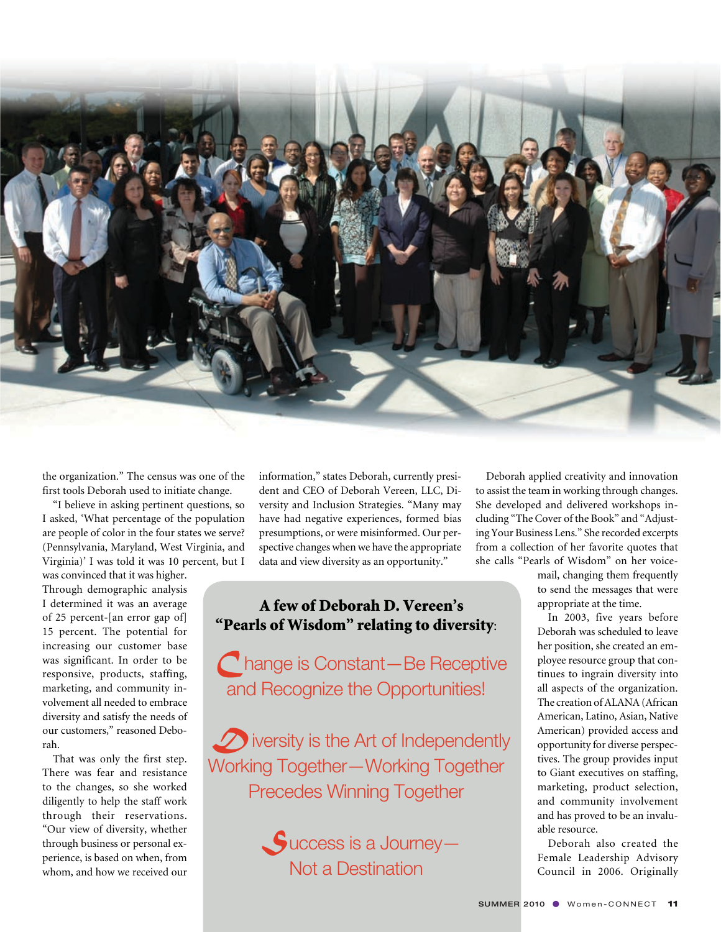

the organization." The census was one of the first tools Deborah used to initiate change.

"I believe in asking pertinent questions, so I asked, 'What percentage of the population are people of color in the four states we serve? (Pennsylvania, Maryland, West Virginia, and Virginia)' I was told it was 10 percent, but I

was convinced that it was higher. Through demographic analysis I determined it was an average of 25 percent-[an error gap of] 15 percent. The potential for increasing our customer base was significant. In order to be responsive, products, staffing, marketing, and community involvement all needed to embrace diversity and satisfy the needs of our customers," reasoned Deborah.

That was only the first step. There was fear and resistance to the changes, so she worked diligently to help the staff work through their reservations. "Our view of diversity, whether through business or personal experience, is based on when, from whom, and how we received our

information," states Deborah, currently president and CEO of Deborah Vereen, LLC, Diversity and Inclusion Strategies. "Many may have had negative experiences, formed bias presumptions, or were misinformed. Our perspective changes when we have the appropriate data and view diversity as an opportunity."

## A few of Deborah D. Vereen's "Pearls of Wisdom" relating to diversity:

*C*hange is Constant—Be Receptive and Recognize the Opportunities!

**D** iversity is the Art of Independently Working Together—Working Together Precedes Winning Together



Deborah applied creativity and innovation to assist the team in working through changes. She developed and delivered workshops including "The Cover of the Book" and "Adjusting Your Business Lens." She recorded excerpts from a collection of her favorite quotes that she calls "Pearls of Wisdom" on her voice-

> mail, changing them frequently to send the messages that were appropriate at the time.

In 2003, five years before Deborah was scheduled to leave her position, she created an employee resource group that continues to ingrain diversity into all aspects of the organization. The creation of ALANA (African American, Latino, Asian, Native American) provided access and opportunity for diverse perspectives. The group provides input to Giant executives on staffing, marketing, product selection, and community involvement and has proved to be an invaluable resource.

Deborah also created the Female Leadership Advisory Council in 2006. Originally